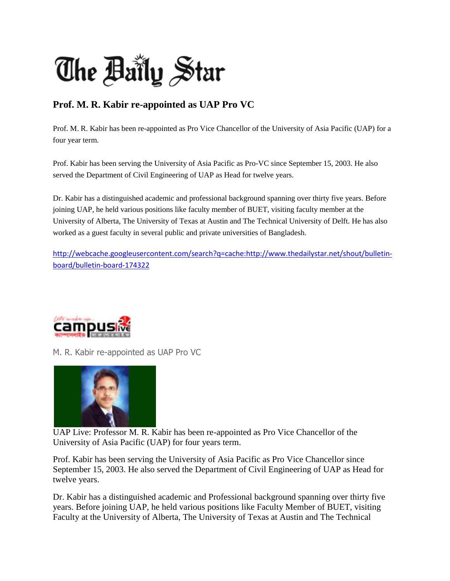

## **Prof. M. R. Kabir re-appointed as UAP Pro VC**

Prof. M. R. Kabir has been re-appointed as Pro Vice Chancellor of the University of Asia Pacific (UAP) for a four year term.

Prof. Kabir has been serving the University of Asia Pacific as Pro-VC since September 15, 2003. He also served the Department of Civil Engineering of UAP as Head for twelve years.

Dr. Kabir has a distinguished academic and professional background spanning over thirty five years. Before joining UAP, he held various positions like faculty member of BUET, visiting faculty member at the University of Alberta, The University of Texas at Austin and The Technical University of Delft. He has also worked as a guest faculty in several public and private universities of Bangladesh.

[http://webcache.googleusercontent.com/search?q=cache:http://www.thedailystar.net/shout/bulletin](http://webcache.googleusercontent.com/search?q=cache:http://www.thedailystar.net/shout/bulletin-board/bulletin-board-174322)[board/bulletin-board-174322](http://webcache.googleusercontent.com/search?q=cache:http://www.thedailystar.net/shout/bulletin-board/bulletin-board-174322)



M. R. Kabir re-appointed as UAP Pro VC



UAP Live: Professor M. R. Kabir has been re-appointed as Pro Vice Chancellor of the University of Asia Pacific (UAP) for four years term.

Prof. Kabir has been serving the University of Asia Pacific as Pro Vice Chancellor since September 15, 2003. He also served the Department of Civil Engineering of UAP as Head for twelve years.

Dr. Kabir has a distinguished academic and Professional background spanning over thirty five years. Before joining UAP, he held various positions like Faculty Member of BUET, visiting Faculty at the University of Alberta, The University of Texas at Austin and The Technical